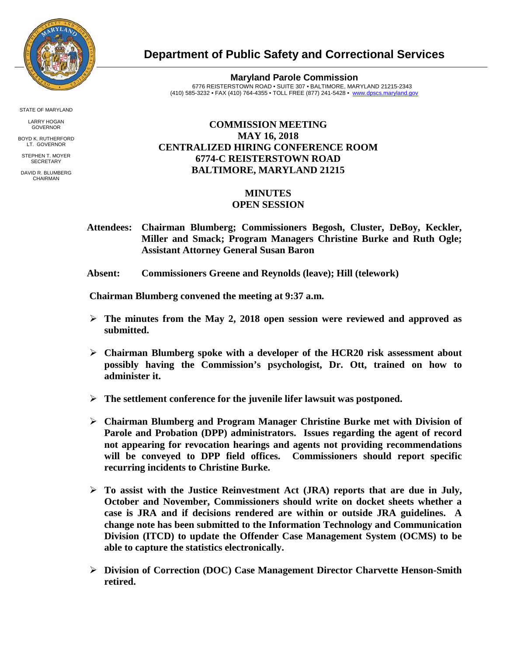

**Department of Public Safety and Correctional Services**

**Maryland Parole Commission** 6776 REISTERSTOWN ROAD • SUITE 307 • BALTIMORE, MARYLAND 21215-2343 (410) 585-3232 • FAX (410) 764-4355 • TOLL FREE (877) 241-5428 • [www.dpscs.maryland.gov](http://www.dpscs.maryland.gov/) 

## **COMMISSION MEETING MAY 16, 2018 CENTRALIZED HIRING CONFERENCE ROOM 6774-C REISTERSTOWN ROAD BALTIMORE, MARYLAND 21215**

## **MINUTES**

## **OPEN SESSION**

- **Attendees: Chairman Blumberg; Commissioners Begosh, Cluster, DeBoy, Keckler, Miller and Smack; Program Managers Christine Burke and Ruth Ogle; Assistant Attorney General Susan Baron**
- **Absent: Commissioners Greene and Reynolds (leave); Hill (telework)**

 **Chairman Blumberg convened the meeting at 9:37 a.m.**

- **The minutes from the May 2, 2018 open session were reviewed and approved as submitted.**
- **Chairman Blumberg spoke with a developer of the HCR20 risk assessment about possibly having the Commission's psychologist, Dr. Ott, trained on how to administer it.**
- **The settlement conference for the juvenile lifer lawsuit was postponed.**
- **Chairman Blumberg and Program Manager Christine Burke met with Division of Parole and Probation (DPP) administrators. Issues regarding the agent of record not appearing for revocation hearings and agents not providing recommendations will be conveyed to DPP field offices. Commissioners should report specific recurring incidents to Christine Burke.**
- **To assist with the Justice Reinvestment Act (JRA) reports that are due in July, October and November, Commissioners should write on docket sheets whether a case is JRA and if decisions rendered are within or outside JRA guidelines. A change note has been submitted to the Information Technology and Communication Division (ITCD) to update the Offender Case Management System (OCMS) to be able to capture the statistics electronically.**
- **Division of Correction (DOC) Case Management Director Charvette Henson-Smith retired.**

STATE OF MARYLAND

LARRY HOGAN GOVERNOR BOYD K. RUTHERFORD

LT. GOVERNOR STEPHEN T. MOYER **SECRETARY** 

DAVID R. BLUMBERG CHAIRMAN